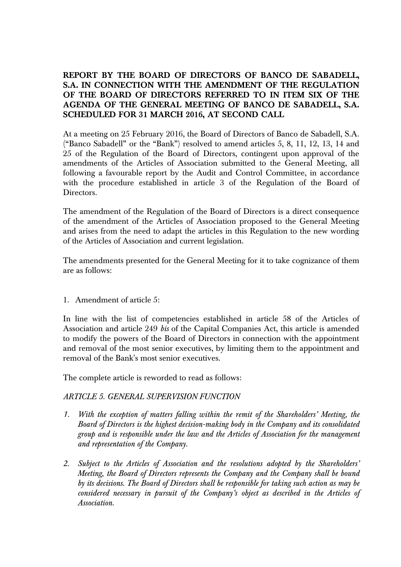# **REPORT BY THE BOARD OF DIRECTORS OF BANCO DE SABADELL, S.A. IN CONNECTION WITH THE AMENDMENT OF THE REGULATION OF THE BOARD OF DIRECTORS REFERRED TO IN ITEM SIX OF THE AGENDA OF THE GENERAL MEETING OF BANCO DE SABADELL, S.A. SCHEDULED FOR 31 MARCH 2016, AT SECOND CALL**

At a meeting on 25 February 2016, the Board of Directors of Banco de Sabadell, S.A. ("Banco Sabadell" or the "Bank") resolved to amend articles 5, 8, 11, 12, 13, 14 and 25 of the Regulation of the Board of Directors, contingent upon approval of the amendments of the Articles of Association submitted to the General Meeting, all following a favourable report by the Audit and Control Committee, in accordance with the procedure established in article 3 of the Regulation of the Board of Directors.

The amendment of the Regulation of the Board of Directors is a direct consequence of the amendment of the Articles of Association proposed to the General Meeting and arises from the need to adapt the articles in this Regulation to the new wording of the Articles of Association and current legislation.

The amendments presented for the General Meeting for it to take cognizance of them are as follows:

1. Amendment of article 5:

In line with the list of competencies established in article 58 of the Articles of Association and article 249 *bis* of the Capital Companies Act, this article is amended to modify the powers of the Board of Directors in connection with the appointment and removal of the most senior executives, by limiting them to the appointment and removal of the Bank's most senior executives.

The complete article is reworded to read as follows:

# *ARTICLE 5. GENERAL SUPERVISION FUNCTION*

- *1. With the exception of matters falling within the remit of the Shareholders' Meeting, the Board of Directors is the highest decision-making body in the Company and its consolidated group and is responsible under the law and the Articles of Association for the management and representation of the Company.*
- *2. Subject to the Articles of Association and the resolutions adopted by the Shareholders' Meeting, the Board of Directors represents the Company and the Company shall be bound by its decisions. The Board of Directors shall be responsible for taking such action as may be considered necessary in pursuit of the Company's object as described in the Articles of Association.*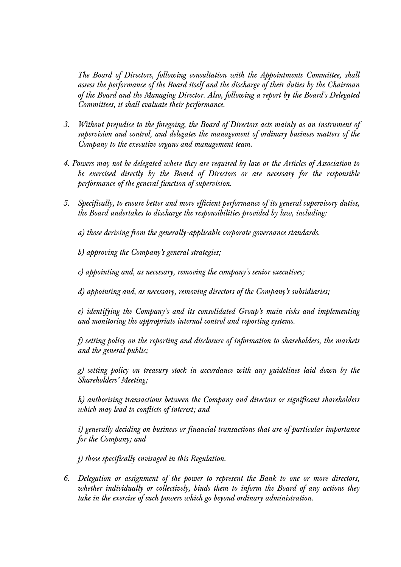*The Board of Directors, following consultation with the Appointments Committee, shall assess the performance of the Board itself and the discharge of their duties by the Chairman of the Board and the Managing Director. Also, following a report by the Board's Delegated Committees, it shall evaluate their performance.* 

- *3. Without prejudice to the foregoing, the Board of Directors acts mainly as an instrument of supervision and control, and delegates the management of ordinary business matters of the Company to the executive organs and management team.*
- *4. Powers may not be delegated where they are required by law or the Articles of Association to be exercised directly by the Board of Directors or are necessary for the responsible performance of the general function of supervision.*
- *5. Specifically, to ensure better and more efficient performance of its general supervisory duties, the Board undertakes to discharge the responsibilities provided by law, including:*

*a) those deriving from the generally-applicable corporate governance standards.* 

*b) approving the Company's general strategies;* 

*c) appointing and, as necessary, removing the company's senior executives;* 

*d) appointing and, as necessary, removing directors of the Company's subsidiaries;* 

*e) identifying the Company's and its consolidated Group's main risks and implementing and monitoring the appropriate internal control and reporting systems.* 

*f) setting policy on the reporting and disclosure of information to shareholders, the markets and the general public;* 

*g) setting policy on treasury stock in accordance with any guidelines laid down by the Shareholders' Meeting;* 

*h) authorising transactions between the Company and directors or significant shareholders which may lead to conflicts of interest; and* 

*i) generally deciding on business or financial transactions that are of particular importance for the Company; and* 

*j) those specifically envisaged in this Regulation.* 

*6. Delegation or assignment of the power to represent the Bank to one or more directors, whether individually or collectively, binds them to inform the Board of any actions they take in the exercise of such powers which go beyond ordinary administration.*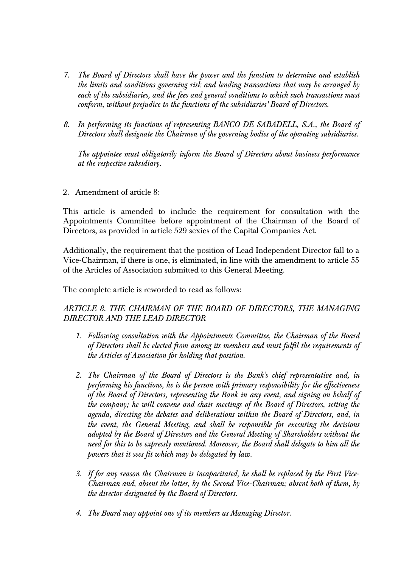- *7. The Board of Directors shall have the power and the function to determine and establish the limits and conditions governing risk and lending transactions that may be arranged by each of the subsidiaries, and the fees and general conditions to which such transactions must conform, without prejudice to the functions of the subsidiaries' Board of Directors.*
- *8. In performing its functions of representing BANCO DE SABADELL, S.A., the Board of Directors shall designate the Chairmen of the governing bodies of the operating subsidiaries.*

*The appointee must obligatorily inform the Board of Directors about business performance at the respective subsidiary.* 

2. Amendment of article 8:

This article is amended to include the requirement for consultation with the Appointments Committee before appointment of the Chairman of the Board of Directors, as provided in article 529 sexies of the Capital Companies Act.

Additionally, the requirement that the position of Lead Independent Director fall to a Vice-Chairman, if there is one, is eliminated, in line with the amendment to article 55 of the Articles of Association submitted to this General Meeting.

The complete article is reworded to read as follows:

# *ARTICLE 8. THE CHAIRMAN OF THE BOARD OF DIRECTORS, THE MANAGING DIRECTOR AND THE LEAD DIRECTOR*

- *1. Following consultation with the Appointments Committee, the Chairman of the Board of Directors shall be elected from among its members and must fulfil the requirements of the Articles of Association for holding that position.*
- *2. The Chairman of the Board of Directors is the Bank's chief representative and, in performing his functions, he is the person with primary responsibility for the effectiveness of the Board of Directors, representing the Bank in any event, and signing on behalf of the company; he will convene and chair meetings of the Board of Directors, setting the agenda, directing the debates and deliberations within the Board of Directors, and, in the event, the General Meeting, and shall be responsible for executing the decisions adopted by the Board of Directors and the General Meeting of Shareholders without the need for this to be expressly mentioned. Moreover, the Board shall delegate to him all the powers that it sees fit which may be delegated by law.*
- *3. If for any reason the Chairman is incapacitated, he shall be replaced by the First Vice-Chairman and, absent the latter, by the Second Vice-Chairman; absent both of them, by the director designated by the Board of Directors.*
- *4. The Board may appoint one of its members as Managing Director.*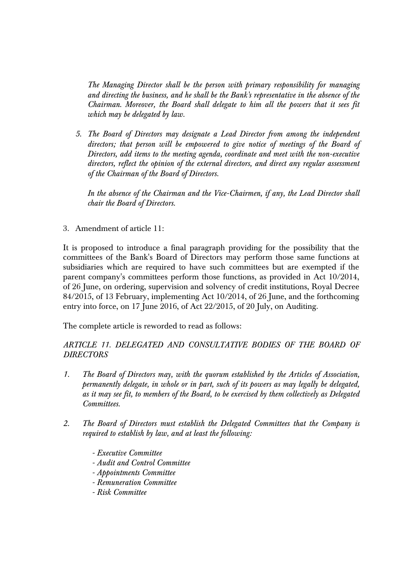*The Managing Director shall be the person with primary responsibility for managing and directing the business, and he shall be the Bank's representative in the absence of the Chairman. Moreover, the Board shall delegate to him all the powers that it sees fit which may be delegated by law.* 

*5. The Board of Directors may designate a Lead Director from among the independent directors; that person will be empowered to give notice of meetings of the Board of Directors, add items to the meeting agenda, coordinate and meet with the non-executive directors, reflect the opinion of the external directors, and direct any regular assessment of the Chairman of the Board of Directors.* 

*In the absence of the Chairman and the Vice-Chairmen, if any, the Lead Director shall chair the Board of Directors.* 

3. Amendment of article 11:

It is proposed to introduce a final paragraph providing for the possibility that the committees of the Bank's Board of Directors may perform those same functions at subsidiaries which are required to have such committees but are exempted if the parent company's committees perform those functions, as provided in Act 10/2014, of 26 June, on ordering, supervision and solvency of credit institutions, Royal Decree 84/2015, of 13 February, implementing Act 10/2014, of 26 June, and the forthcoming entry into force, on 17 June 2016, of Act 22/2015, of 20 July, on Auditing.

The complete article is reworded to read as follows:

# ARTICLE 11. DELEGATED AND CONSULTATIVE BODIES OF THE BOARD OF *DIRECTORS*

- *1. The Board of Directors may, with the quorum established by the Articles of Association, permanently delegate, in whole or in part, such of its powers as may legally be delegated, as it may see fit, to members of the Board, to be exercised by them collectively as Delegated Committees.*
- *2. The Board of Directors must establish the Delegated Committees that the Company is required to establish by law, and at least the following:* 
	- *Executive Committee*
	- *Audit and Control Committee*
	- *Appointments Committee*
	- *Remuneration Committee*
	- *Risk Committee*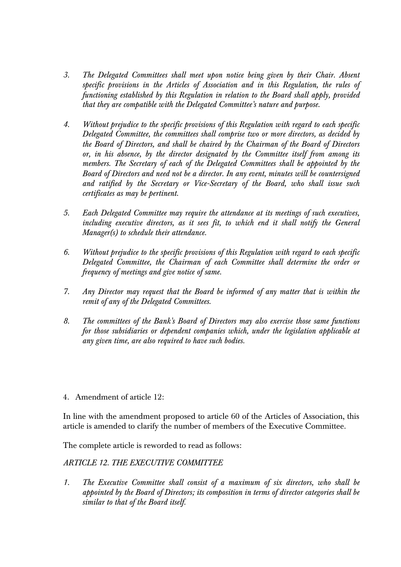- *3. The Delegated Committees shall meet upon notice being given by their Chair. Absent specific provisions in the Articles of Association and in this Regulation, the rules of functioning established by this Regulation in relation to the Board shall apply, provided that they are compatible with the Delegated Committee's nature and purpose.*
- *4. Without prejudice to the specific provisions of this Regulation with regard to each specific Delegated Committee, the committees shall comprise two or more directors, as decided by the Board of Directors, and shall be chaired by the Chairman of the Board of Directors or, in his absence, by the director designated by the Committee itself from among its members. The Secretary of each of the Delegated Committees shall be appointed by the Board of Directors and need not be a director. In any event, minutes will be countersigned and ratified by the Secretary or Vice-Secretary of the Board, who shall issue such certificates as may be pertinent.*
- *5. Each Delegated Committee may require the attendance at its meetings of such executives, including executive directors, as it sees fit, to which end it shall notify the General Manager(s) to schedule their attendance.*
- *6. Without prejudice to the specific provisions of this Regulation with regard to each specific Delegated Committee, the Chairman of each Committee shall determine the order or frequency of meetings and give notice of same.*
- *7. Any Director may request that the Board be informed of any matter that is within the remit of any of the Delegated Committees.*
- *8. The committees of the Bank's Board of Directors may also exercise those same functions for those subsidiaries or dependent companies which, under the legislation applicable at any given time, are also required to have such bodies.*
- 4. Amendment of article 12:

In line with the amendment proposed to article 60 of the Articles of Association, this article is amended to clarify the number of members of the Executive Committee.

The complete article is reworded to read as follows:

#### *ARTICLE 12. THE EXECUTIVE COMMITTEE*

*1. The Executive Committee shall consist of a maximum of six directors, who shall be appointed by the Board of Directors; its composition in terms of director categories shall be similar to that of the Board itself.*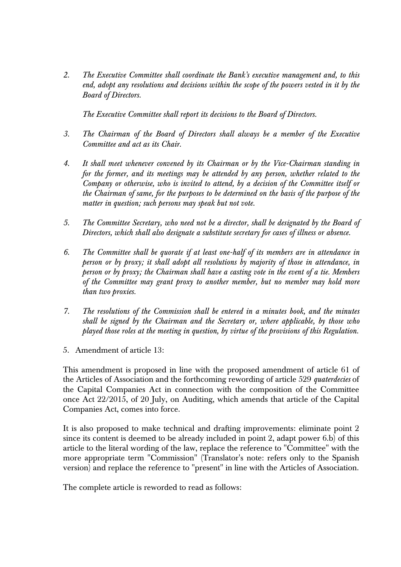*2. The Executive Committee shall coordinate the Bank's executive management and, to this end, adopt any resolutions and decisions within the scope of the powers vested in it by the Board of Directors.* 

*The Executive Committee shall report its decisions to the Board of Directors.* 

- *3. The Chairman of the Board of Directors shall always be a member of the Executive Committee and act as its Chair.*
- *4. It shall meet whenever convened by its Chairman or by the Vice-Chairman standing in for the former, and its meetings may be attended by any person, whether related to the Company or otherwise, who is invited to attend, by a decision of the Committee itself or the Chairman of same, for the purposes to be determined on the basis of the purpose of the matter in question; such persons may speak but not vote.*
- *5. The Committee Secretary, who need not be a director, shall be designated by the Board of Directors, which shall also designate a substitute secretary for cases of illness or absence.*
- *6. The Committee shall be quorate if at least one-half of its members are in attendance in person or by proxy; it shall adopt all resolutions by majority of those in attendance, in person or by proxy; the Chairman shall have a casting vote in the event of a tie. Members of the Committee may grant proxy to another member, but no member may hold more than two proxies.*
- *7. The resolutions of the Commission shall be entered in a minutes book, and the minutes shall be signed by the Chairman and the Secretary or, where applicable, by those who played those roles at the meeting in question, by virtue of the provisions of this Regulation.*
- 5. Amendment of article 13:

This amendment is proposed in line with the proposed amendment of article 61 of the Articles of Association and the forthcoming rewording of article 529 *quaterdecies* of the Capital Companies Act in connection with the composition of the Committee once Act 22/2015, of 20 July, on Auditing, which amends that article of the Capital Companies Act, comes into force.

It is also proposed to make technical and drafting improvements: eliminate point 2 since its content is deemed to be already included in point 2, adapt power 6.b) of this article to the literal wording of the law, replace the reference to "Committee" with the more appropriate term "Commission" (Translator's note: refers only to the Spanish version) and replace the reference to "present" in line with the Articles of Association.

The complete article is reworded to read as follows: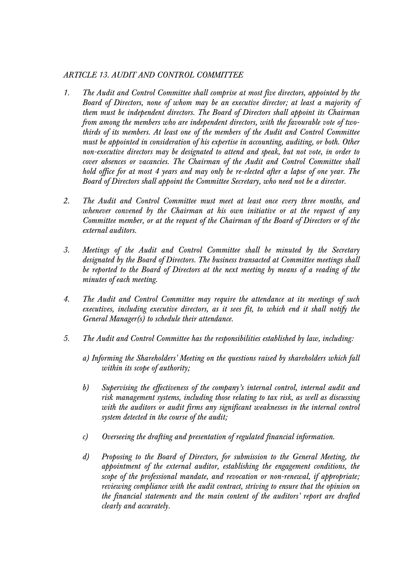### *ARTICLE 13. AUDIT AND CONTROL COMMITTEE*

- *1. The Audit and Control Committee shall comprise at most five directors, appointed by the Board of Directors, none of whom may be an executive director; at least a majority of them must be independent directors. The Board of Directors shall appoint its Chairman from among the members who are independent directors, with the favourable vote of twothirds of its members. At least one of the members of the Audit and Control Committee must be appointed in consideration of his expertise in accounting, auditing, or both. Other non-executive directors may be designated to attend and speak, but not vote, in order to cover absences or vacancies. The Chairman of the Audit and Control Committee shall hold office for at most 4 years and may only be re-elected after a lapse of one year. The Board of Directors shall appoint the Committee Secretary, who need not be a director.*
- *2. The Audit and Control Committee must meet at least once every three months, and whenever convened by the Chairman at his own initiative or at the request of any Committee member, or at the request of the Chairman of the Board of Directors or of the external auditors.*
- *3. Meetings of the Audit and Control Committee shall be minuted by the Secretary designated by the Board of Directors. The business transacted at Committee meetings shall be reported to the Board of Directors at the next meeting by means of a reading of the minutes of each meeting.*
- *4. The Audit and Control Committee may require the attendance at its meetings of such executives, including executive directors, as it sees fit, to which end it shall notify the General Manager(s) to schedule their attendance.*
- *5. The Audit and Control Committee has the responsibilities established by law, including:* 
	- *a) Informing the Shareholders' Meeting on the questions raised by shareholders which fall within its scope of authority;*
	- *b) Supervising the effectiveness of the company's internal control, internal audit and risk management systems, including those relating to tax risk, as well as discussing with the auditors or audit firms any significant weaknesses in the internal control system detected in the course of the audit;*
	- *c) Overseeing the drafting and presentation of regulated financial information.*
	- *d) Proposing to the Board of Directors, for submission to the General Meeting, the appointment of the external auditor, establishing the engagement conditions, the scope of the professional mandate, and revocation or non-renewal, if appropriate; reviewing compliance with the audit contract, striving to ensure that the opinion on the financial statements and the main content of the auditors' report are drafted clearly and accurately.*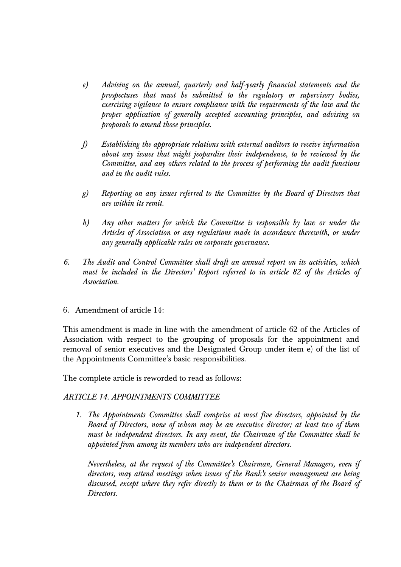- *e) Advising on the annual, quarterly and half-yearly financial statements and the prospectuses that must be submitted to the regulatory or supervisory bodies, exercising vigilance to ensure compliance with the requirements of the law and the proper application of generally accepted accounting principles, and advising on proposals to amend those principles.*
- *f) Establishing the appropriate relations with external auditors to receive information about any issues that might jeopardise their independence, to be reviewed by the Committee, and any others related to the process of performing the audit functions and in the audit rules.*
- *g) Reporting on any issues referred to the Committee by the Board of Directors that are within its remit.*
- *h) Any other matters for which the Committee is responsible by law or under the Articles of Association or any regulations made in accordance therewith, or under any generally applicable rules on corporate governance.*
- *6. The Audit and Control Committee shall draft an annual report on its activities, which must be included in the Directors' Report referred to in article 82 of the Articles of Association.*
- 6. Amendment of article 14:

This amendment is made in line with the amendment of article 62 of the Articles of Association with respect to the grouping of proposals for the appointment and removal of senior executives and the Designated Group under item e) of the list of the Appointments Committee's basic responsibilities.

The complete article is reworded to read as follows:

#### *ARTICLE 14. APPOINTMENTS COMMITTEE*

*1. The Appointments Committee shall comprise at most five directors, appointed by the Board of Directors, none of whom may be an executive director; at least two of them must be independent directors. In any event, the Chairman of the Committee shall be appointed from among its members who are independent directors.* 

*Nevertheless, at the request of the Committee's Chairman, General Managers, even if directors, may attend meetings when issues of the Bank's senior management are being discussed, except where they refer directly to them or to the Chairman of the Board of Directors.*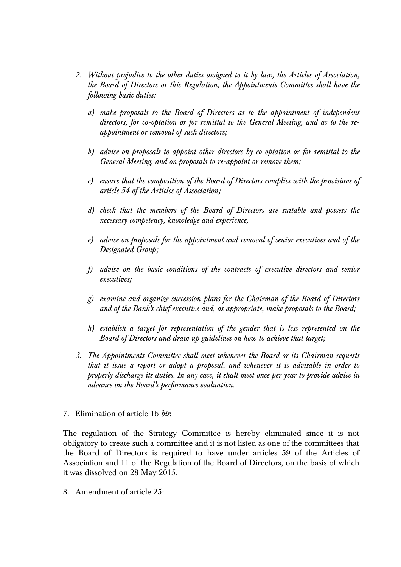- *2. Without prejudice to the other duties assigned to it by law, the Articles of Association, the Board of Directors or this Regulation, the Appointments Committee shall have the following basic duties:* 
	- *a) make proposals to the Board of Directors as to the appointment of independent directors, for co-optation or for remittal to the General Meeting, and as to the reappointment or removal of such directors;*
	- *b) advise on proposals to appoint other directors by co-optation or for remittal to the General Meeting, and on proposals to re-appoint or remove them;*
	- *c) ensure that the composition of the Board of Directors complies with the provisions of article 54 of the Articles of Association;*
	- *d) check that the members of the Board of Directors are suitable and possess the necessary competency, knowledge and experience,*
	- *e) advise on proposals for the appointment and removal of senior executives and of the Designated Group;*
	- *f) advise on the basic conditions of the contracts of executive directors and senior executives;*
	- *g) examine and organize succession plans for the Chairman of the Board of Directors and of the Bank's chief executive and, as appropriate, make proposals to the Board;*
	- *h) establish a target for representation of the gender that is less represented on the Board of Directors and draw up guidelines on how to achieve that target;*
- *3. The Appointments Committee shall meet whenever the Board or its Chairman requests that it issue a report or adopt a proposal, and whenever it is advisable in order to properly discharge its duties. In any case, it shall meet once per year to provide advice in advance on the Board's performance evaluation.*
- 7. Elimination of article 16 *bis*:

The regulation of the Strategy Committee is hereby eliminated since it is not obligatory to create such a committee and it is not listed as one of the committees that the Board of Directors is required to have under articles 59 of the Articles of Association and 11 of the Regulation of the Board of Directors, on the basis of which it was dissolved on 28 May 2015.

8. Amendment of article 25: